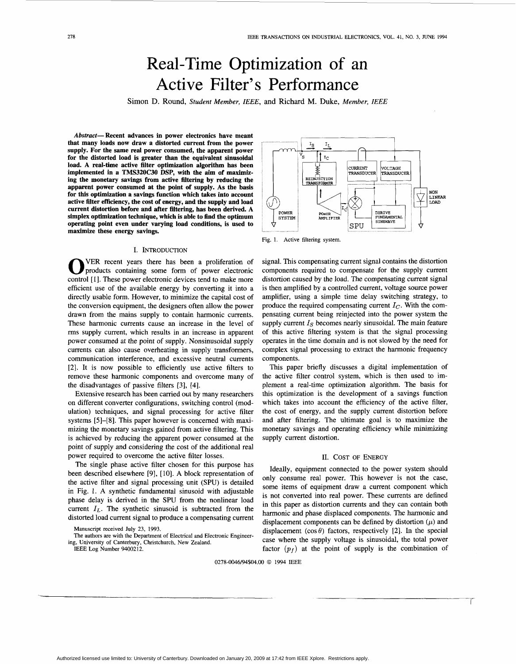# Real-Time Optimization of an Active Filter's Performance

Simon D. Round, *Student Member, IEEE,* and Richard **M. Duke,** *Member, IEEE* 

*Abstruct-* **Recent advances in power electronics have meant that many loads now draw a distorted current from the power supply. For the same real power consumed, the apparent power for the distorted load is greater than the equivalent sinusoidal load. A real-time active filter optimization algorithm has been implemented in a TMS32OC30 DSP, with the aim of maximizing the monetary savings from active filtering by reducing the apparent power consumed at the point of supply. As the basis for this optimization a savings function which takes into account active filter efficiency, the cost of energy, and the supply and load current distortion before and after filtering, has been derived. A simplex optimization technique, which is able to find the optimum operating point even under varying load conditions, is used to maximize these energy savings.** 

#### I. INTRODUCTION

VER recent years there has been a proliferation of products containing some form of power electronic control [l]. These power electronic devices tend to make more efficient use of the available energy by converting it into a directly usable form. However, to minimize the capital cost of the conversion equipment, the designers often allow the power drawn from the mains supply to contain harmonic currents. These harmonic currents cause an increase in the level of rms supply current, which results in an increase in apparent power consumed at the point of supply. Nonsinusoidal supply currents can also cause overheating in supply transformers, communication interference, and excessive neutral currents *[2].* It is now possible to efficiently use active filters to remove these harmonic components and overcome many of the disadvantages of passive filters **[3],** [4].

Extensive research has been carried out by many researchers on different converter configurations, switching control (modulation) techniques, and signal processing for active filter systems *[5]-[8].* This paper however is concerned with maximizing the monetary savings gained from active filtering. This is achieved by reducing the apparent power consumed at the point of supply and considering the cost of the additional real power required to overcome the active filter losses.

The single phase active filter chosen for this purpose has been described elsewhere **[9],** [lo]. **A** block representation of the active filter and signal processing unit **(SPU)** is detailed in Fig. 1. **A** synthetic fundamental sinusoid with adjustable phase delay is derived in the **SPU** from the nonlinear load current  $I_L$ . The synthetic sinusoid is subtracted from the distorted load current signal to produce a compensating current

Manuscript received July 23, 1993.

The authors are with the Department of Electrical and Electronic Engineering, University of Canterbury, Christchurch, New Zealand.

**IEEE** Log Number 9400212.

**POWER ANSACTIONS ON INDUSTRIAL ELECTRONICS, VOL. 41, NO. 3, 1<br>
<b>POPFORTMANCE**<br>
and Richard M. Duke, *Member*, *IEEE*<br>
and Richard M. Duke, *Member*, *IEEE*<br>  $\frac{1}{2}$ <br>  $\frac{1}{2}$ <br>  $\frac{1}{2}$ <br>  $\frac{1}{2}$ <br>  $\frac{1}{2}$ <br>  $\frac{1}{2}$ NON<br>LINEAR<br>LOAD

Fig. 1. Active filtering system.

signal. This compensating current signal contains the distortion components required to compensate for the supply current distortion caused by the load. The compensating current signal is then amplified by a controlled current, voltage source power amplifier, using a simple time delay switching strategy, to produce the required compensating current  $I_C$ . With the compensating current being reinjected into the power system the supply current  $I<sub>S</sub>$  becomes nearly sinusoidal. The main feature of this active filtering system is that the signal processing operates in the time domain and is not slowed by the need for complex signal processing to extract the harmonic frequency components.

This paper briefly discusses a digital implementation of the active filter control system, which is then used to implement a real-time optimization algorithm. The basis for this optimization is the development of a savings function which takes into account the efficiency of the active filter, the cost of energy, and the supply current distortion before and after filtering. The ultimate goal is to maximize the monetary savings and operating efficiency while minimizing supply current distortion.

#### 11. **COST** OF ENERGY

Ideally, equipment connected to the power system should only consume real power. This however is not the case, some items of equipment draw a current component which is not converted into real power. These currents are defined in this paper as distortion currents and they can contain both harmonic and phase displaced components. The harmonic and displacement components can be defined by distortion  $(\mu)$  and displacement  $(\cos \theta)$  factors, respectively [2]. In the special case where the supply voltage is sinusoidal, the total power factor  $(p_f)$  at the point of supply is the combination of

0278-0046/94\$04.00 *0* 1994 IEEE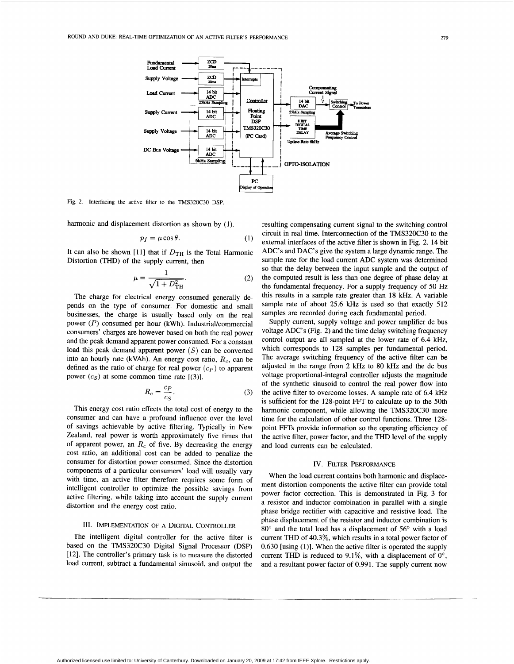

**Fig.** 2. **Interfacing** the **active filter to** the TMS320C30 DSP.

harmonic and displacement distortion as shown by (1).

$$
p_f = \mu \cos \theta. \tag{1}
$$

It can also be shown [11] that if  $D_{TH}$  is the Total Harmonic

Definition (THD) of the supply current, then

\n
$$
\mu = \frac{1}{\sqrt{1 + D_{\text{TH}}^2}}.
$$
\n(2)

The charge for electrical energy consumed generally depends on the type of consumer. For domestic and small businesses, the charge is usually based only on the real power (P) consumed per hour (kWh). Industrial/commercial consumers' charges are however based on both the real power and the peak demand apparent power consumed. For a constant load this peak demand apparent power  $(S)$  can be converted into an hourly rate (kVAh). An energy cost ratio,  $R_c$ , can be defined as the ratio of charge for real power *(cp)* to apparent power  $(c_S)$  at some common time rate  $[(3)]$ .

$$
R_c = \frac{c_P}{c_S}.\tag{3}
$$

This energy cost ratio effects the total cost of energy to the consumer and can have a profound influence over the level of savings achievable by active filtering. Typically in New Zealand, real power is worth approximately five times that of apparent power, an  $R_c$  of five. By decreasing the energy cost ratio, an additional cost can be added to penalize the consumer for distortion power consumed. Since the distortion components of a particular consumers' load will usually vary with time, an active filter therefore requires some form of intelligent controller to optimize the possible savings from active filtering, while taking into account the supply current distortion and the energy cost ratio.

## 111. IMPLEMENTATION OF **A** DIGITAL CONTROLLER

The intelligent digital controller for the active filter is based on the TMS320C30 Digital Signal Processor (DSP) [12]. The controller's primary task is to measure the distorted load current, subtract a fundamental sinusoid, and output the

resulting compensating current signal to the switching control circuit in real time. Interconnection of the TMS320C30 to the external interfaces of the active filter is shown in Fig. 2. 14 bit ADC's and DAC's give the system a large dynamic range. The sample rate for the load current ADC system was determined so that the delay between the input sample and the output of the computed result is less than one degree of phase delay at the fundamental frequency. For a supply frequency of 50 Hz this results in a sample rate greater than 18 kHz. A variable sample rate of about 25.6 kHz is used so that exactly 512 samples are recorded during each fundamental period.

Supply current, supply voltage and power amplifier dc bus voltage ADC's (Fig. 2) and the time delay switching frequency control output are all sampled at the lower rate of 6.4 **kHz,**  which corresponds to 128 samples per fundamental period. The average switching frequency of the active filter can be adjusted in the range from 2 kHz to 80 kHz and the dc bus voltage proportional-integral controller adjusts the magnitude of the synthetic sinusoid to control the real power flow into the active filter to overcome losses. A sample rate of 6.4 kHz is sufficient for the 128-point FFT to calculate up to the 50th harmonic component, while allowing the TMS32OC30 more time for the calculation of other control functions. Three 128 point FFTs provide information so the operating efficiency of the active filter, power factor, and the THD level of the supply and load currents can be calculated.

#### IV. FILTER PERFORMANCE

When the load current contains both harmonic and displacement distortion components the active filter can provide total power factor correction. This is demonstrated in [Fig. 3](#page-2-0) for a resistor and inductor combination in parallel with a single phase bridge rectifier with capacitive and resistive load. The phase displacement of the resistor and inductor combination is  $80^{\circ}$  and the total load has a displacement of  $56^{\circ}$  with a load current THD of 40.3%, which results in a total power factor of  $0.630$  [using  $(1)$ ]. When the active filter is operated the supply current THD is reduced to 9.1%, with a displacement of *O",*  and a resultant power factor of 0.991. The supply current now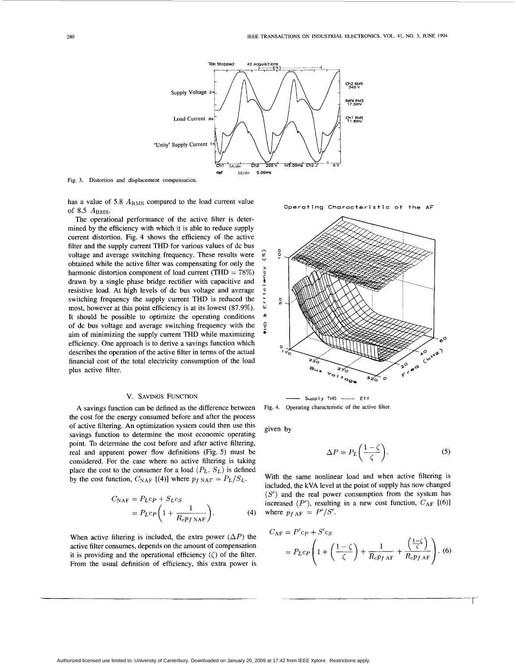<span id="page-2-0"></span>

**Fig. 3. Distortion and displacement compensation.** 

has a value of 5.8  $A_{\text{RMS}}$  compared to the load current value **Operating Characteristic** of the **AF** of *8.5* **ARMS.** 

The operational performance of the active filter is determined by the efficiency with which it is able to reduce supply current distortion. Fig. 4 shows the efficiency of the active filter and the supply current THD for various values of dc bus voltage and average switching frequency. These results were obtained while the active filter was compensating for only the harmonic distortion component of load current (THD  $= 78\%)$ drawn by a single phase bridge rectifier with capacitive and resistive load. At high levels of dc bus voltage and average switching frequency the supply current THD is reduced the most, however at this point efficiency is at its lowest (87.9%). It should be possible to optimize the operating conditions of dc bus voltage and average switching frequency with the aim of minimizing the supply current THD while maximizing efficiency. One approach is to derive a savings function which financial cost of the total electricity consumption of the load plus active filter. describes the operation of the active filter in terms of the actual *<sup>I</sup>*

## V. SAVINGS FUNCTION

**A** savings function can be defined as the difference between the cost for the energy consumed before and after the process of active filtering. An optimization system could then use this savings function to determine the most economic operating point. To determine the cost before and after active filtering, real and apparent power flow definitions (Fig. *5)* must be considered. For the case where no active filtering is taking place the cost to the consumer for a load  $(P_L, S_L)$  is defined by the cost function,  $C_{\text{NAF}}$  [(4)] where  $p_{f \text{NAF}} = P_L/S_L$ .

$$
C_{\text{NAF}} = P_L c_P + S_L c_S
$$
  
= 
$$
P_L c_P \left( 1 + \frac{1}{R_c p_f \text{NAF}} \right).
$$
 (4)

When active filtering is included, the extra power  $(\Delta P)$  the it is providing and the operational efficiency  $(\zeta)$  of the filter. From the usual definition of efficiency, this extra power is active filter consumes, depends on the amount of compensation



given by

$$
\Delta P = P_L \left( \frac{1 - \zeta}{\zeta} \right). \tag{5}
$$

 $\top$ 

With the same nonlinear load and when active filtering is included, the kVA level at the point of supply has now changed  $(S')$  and the real power consumption from the system has increased  $(P')$ , resulting in a new cost function,  $C_{AF}$  [(6)] where  $p_{f AF} = P'/S'$ .

$$
C_{\rm AF} = P'c_P + S'c_S
$$
  
=  $P_L c_P \left( 1 + \left( \frac{1-\zeta}{\zeta} \right) + \frac{1}{R_c p_{f \rm AF}} + \frac{\left( \frac{1-\zeta}{\zeta} \right)}{R_c p_{f \rm AF}} \right)$ . (6)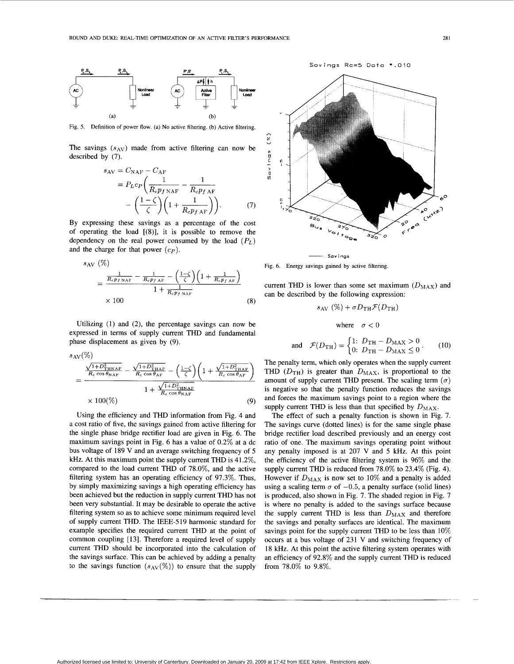

**Fig.** *5.* **Definition** of **power flow. (a)** No **active filtering. (b) Active filtering.** 

The savings  $(s_{AV})$  made from active filtering can now be described by (7).

$$
s_{AV} = C_{NAF} - C_{AF}
$$
  
=  $P_L c_P \left( \frac{1}{R_c p_f N_{AF}} - \frac{1}{R_c p_f A F} - \frac{1}{R_c p_f A F} \right)$   
-  $\left( \frac{1 - \zeta}{\zeta} \right) \left( 1 + \frac{1}{R_c p_f A F} \right)$  (7)

By expressing these savings as a percentage of the cost of operating the load **[(S)],** it is possible to remove the dependency on the real power consumed by the load *(PL)*  and the charge for that power *(cp).* 

$$
s_{AV} \text{ } (\%)
$$
\n
$$
= \frac{\frac{1}{R_c p_f \text{ } \text{NAF}} - \frac{1}{R_c p_f \text{ } \text{AF}} - \left(\frac{1-\zeta}{\zeta}\right) \left(1 + \frac{1}{R_c p_f \text{ } \text{AF}}\right)}{1 + \frac{1}{R_c p_f \text{ } \text{NAF}}}
$$
\n
$$
\times 100 \tag{8}
$$

Utilizing (1) and **(2),** the percentage savings can now be expressed in terms of supply current THD and fundamental phase displacement as given by **(9).** 

$$
s_{AV}(\%)
$$
\n
$$
= \frac{\frac{\sqrt{1+D_{\text{THAF}}^2}}{R_c \cos \theta_{\text{NAF}}}}{R_c \cos \theta_{\text{AF}}} - \frac{\sqrt{1+D_{\text{THAF}}^2}}{R_c \cos \theta_{\text{AF}}} - \left(\frac{1-\zeta}{\zeta}\right) \left(1 + \frac{\sqrt{1+D_{\text{THAF}}^2}}{R_c \cos \theta_{\text{AF}}}\right)}{1 + \frac{\sqrt{1+D_{\text{THNAF}}^2}}{R_c \cos \theta_{\text{NAF}}}}
$$
\n
$$
\times 100(\%)
$$
\n(9)

Using the efficiency and THD information from [Fig. 4](#page-2-0) and a cost ratio of five, the savings gained from active filtering for the single phase bridge rectifier load are given in Fig. 6. The maximum savings point in Fig. 6 has a value of **0.2%** at a dc bus voltage of **189** V and an average switching frequency of *5*  **kHz.** At this maximum point the supply current THD is 41.2%, compared to the load current THD of 78.0%, and the active filtering system has an operating efficiency of **97.3%.** Thus, by simply maximizing savings a high operating efficiency has been achieved but the reduction in supply current THD has not been very substantial. It may be desirable to operate the active filtering system so as to achieve some minimum required level of supply current THD. The IEEE-5 19 harmonic standard for example specifies the required current THD at the point of common coupling **[13].** Therefore a required level of supply current THD should be incorporated into the calculation of the savings surface. This can be achieved by adding a penalty to the savings function  $(s_{AV}(\%))$  to ensure that the supply

 $(z)$  $s$ avings c AO LYNZ) E<sub>US</sub> V<sub>O</sub> T T<sub>OD</sub> 320 0<br>
— Savings<br>
Fig. 6. Energy savings gained by active filtering. ૐ  $\circ$ 

**Savings** Rc=5 Data \*.010

current THD is lower than some set maximum  $(D_{MAX})$  and can be described by the following expression:

$$
s_{\rm AV}~(\%) + \sigma D_{\rm TH} \mathcal{F}(D_{\rm TH})
$$

where  $\sigma < 0$ 

and 
$$
\mathcal{F}(D_{\text{TH}}) = \begin{cases} 1: & D_{\text{TH}} - D_{\text{MAX}} > 0 \\ 0: & D_{\text{TH}} - D_{\text{MAX}} \le 0 \end{cases}
$$
 (10)

The penalty term, which only operates when the supply current THD  $(D_{TH})$  is greater than  $D_{MAX}$ , is proportional to the amount of supply current THD present. The scaling term  $(\sigma)$ is negative so that the penalty function reduces the savings and forces the maximum savings point to a region where the supply current THD is less than that specified by  $D_{MAX}$ .

The effect of such a penalty function is shown in [Fig. 7.](#page-4-0) The savings curve (dotted lines) is for the same single phase bridge rectifier load described previously and an energy cost ratio of one. The maximum savings operating point without any penalty imposed is at 207 **V** and *5* kHz. At this point the efficiency of the active filtering system is 96% and the supply current THD is reduced from 78.0% to **23.4%** (Fig. 4). However if  $D_{MAX}$  is now set to 10% and a penalty is added using a scaling term  $\sigma$  of  $-0.5$ , a penalty surface (solid lines) is produced, also shown in [Fig. 7.](#page-4-0) The shaded region in [Fig. 7](#page-4-0) is where no penalty is added to the savings surface because the supply current THD is less than  $D_{MAX}$  and therefore the savings and penalty surfaces are identical. The maximum savings point for the supply current THD to be less than 10% occurs at a bus voltage of **231** V and switching frequency of 18 kHz. At this point the active filtering system operates with an efficiency of 92.8% and the supply current THD is reduced from 78.0% to **9.8%.**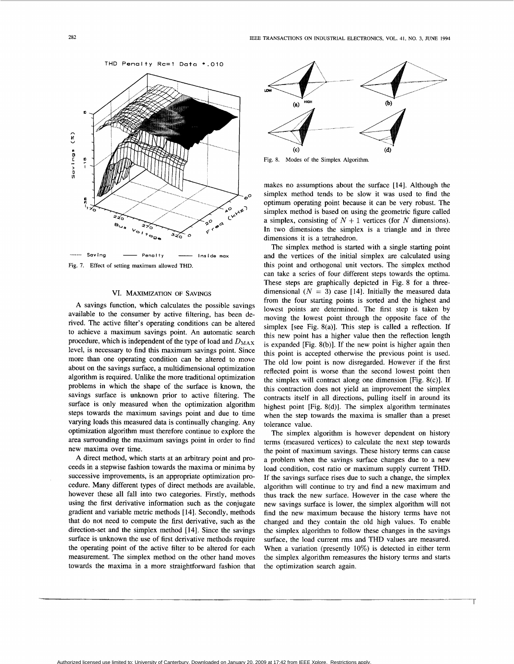<span id="page-4-0"></span>

THD **Penalty Rc=l Data** \*.010

**Fig.** 7. **Effect of setting maximum allowed THD.** 

#### **VI. MAXIMIZATION OF SAVINGS**

A savings function, which calculates the possible savings available to the consumer by active filtering, has been derived. The active filter's operating conditions can be altered to achieve a maximum savings point. An automatic search procedure, which is independent of the type of load and *DMAX*  level, is necessary to find this maximum savings point. Since more than one operating condition can be altered to move about on the savings surface, a multidimensional optimization algorithm is required. Unlike the more traditional optimization problems in which the shape of the surface is known, the savings surface is unknown prior to active filtering. The surface is only measured when the optimization algorithm steps towards the maximum savings point and due to time varying loads this measured data is continually changing. Any optimization algorithm must therefore continue to explore the area surrounding the maximum savings point in order to find new maxima over time.

A direct method, which starts at an arbitrary point and proceeds in a stepwise fashion towards the maxima or minima by successive improvements, is an appropriate optimization procedure. Many different types of direct methods are available, however these all fall into two categories. Firstly, methods using the first derivative information such as the conjugate gradient and variable metric methods [ 141. Secondly, methods that do not need to compute the first derivative, such as the direction-set and the simplex method [14]. Since the savings surface is unknown the use of first derivative methods require the operating point of the active filter to be altered for each measurement. The simplex method on the other hand moves towards the maxima in a more straightforward fashion that



**Fig. 8.** Modes **of the Simplex Algorithm.** 

makes no assumptions about the surface [14]. Although the simplex method tends to be slow it was used to find the optimum operating point because it can be very robust. The simplex method is based on using the geometric figure called a simplex, consisting of  $N + 1$  vertices (for  $N$  dimensions). In two dimensions the simplex is a triangle and in three dimensions it is a tetrahedron.

The simplex method is started with a single starting point and the vertices of the initial simplex are calculated using this point and orthogonal unit vectors. The simplex method can take a series of four different steps towards the optima. These steps are graphically depicted in Fig. 8 for a threedimensional  $(N = 3)$  case [14]. Initially the measured data from the four starting points is sorted and the highest and lowest points are determined. The first step is taken by moving the lowest point through the opposite face of the simplex [see Fig. 8(a)]. This step is called a reflection. If this new point has a higher value then the reflection length is expanded [Fig. 8(b)]. If the new point is higher again then this point is accepted otherwise the previous point is used. The old low point is now disregarded. However if the first reflected point is worse than the second lowest point then the simplex will contract along one dimension [Fig. 8(c)]. If this contraction does not yield an improvement the simplex contracts itself in all directions, pulling itself in around its highest point [Fig. 8(d)]. The simplex algorithm terminates when the step towards the maxima is smaller than a preset tolerance value.

The simplex algorithm is however dependent on history terms (measured vertices) to calculate the next step towards the point of maximum savings. These history terms can cause a problem when the savings surface changes due to a new load condition, cost ratio or maximum supply current THD. If the savings surface rises due to such a change, the simplex algorithm will continue to **try** and find a new maximum and thus track the new surface. However in the case where the new savings surface is lower, the simplex algorithm will not find the new maximum because the history terms have not changed and they contain the old high values. **To** enable the simplex algorithm to follow these changes in the savings surface, the load current rms and THD values are measured. When a variation (presently 10%) is detected in either term the simplex algorithm remeasures the history terms and starts the optimization search again.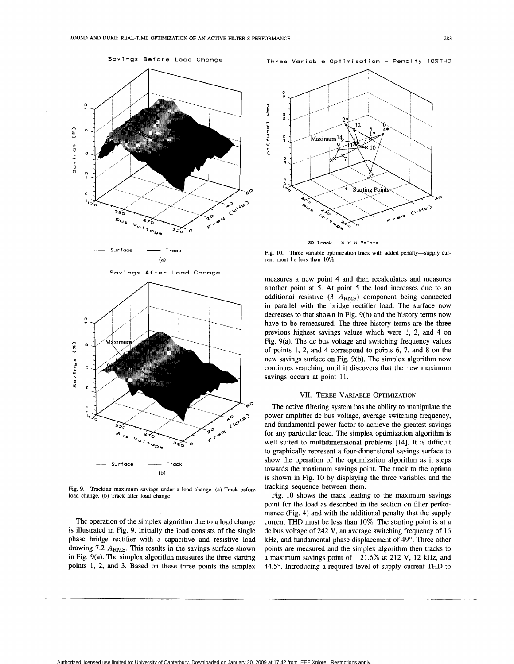

**Fig.** *9.*  **Tracking maximum savings under a load change. (a) Track** before load **change. (b) Track after load change.** 

The operation of the simplex algorithm due to a load change is illustrated in Fig. 9. Initially the load consists of the single phase bridge rectifier with a capacitive and resistive load drawing 7.2  $A_{RMS}$ . This results in the savings surface shown in Fig. 9(a). The simplex algorithm measures the three starting points 1, **2,** and **3.** Based on these three points the simplex **Three Variable Optimisation** - **Penalty** 10%THD



**rent must be less than 10%.** 

measures a new point 4 and then recalculates and measures another point at 5. At point 5 the load increases due to an additional resistive **(3 ARMS)** component being connected in parallel with the bridge'rectifier load. The surface now decreases to that shown in Fig. 9(b) and the history terms now have to be remeasured. The three history terms are the three previous highest savings values which were 1, **2,** and **4** on Fig. 9(a). The dc bus voltage and switching frequency values of points **1, 2,** and **4** correspond to points **6, 7,** and **8** on the new savings surface on Fig. 9(b). The simplex algorithm now continues searching until it discovers that the new maximum savings occurs at point **11.** 

#### VII. **THREE** VARIABLE **OPTIMIZATION**

The active filtering system has the ability to manipulate the power amplifier dc bus voltage, average switching frequency, and fundamental power factor to achieve the greatest savings for any particular load. The simplex optimization algorithm is well suited to multidimensional problems [14]. It is difficult to graphically represent a four-dimensional savings surface to show the operation of the optimization algorithm as it steps towards the maximum savings point. The track to the optima is shown in Fig. 10 by displaying the three variables and the tracking sequence between them.

Fig. 10 shows the track leading to the maximum savings point for the load as described in the section on filter performance (Fig. 4) and with the additional penalty that the supply current THD must be less than **10%.** The starting point is at a dc bus voltage of **242 V,** an average switching frequency of **16**  kHz, and fundamental phase displacement of 49°. Three other points are measured and the simplex algorithm then tracks to a maximum savings point of **-21.6%** at **212** V, **12 kHz,** and **44.5'.** Introducing a required level of supply current THD to